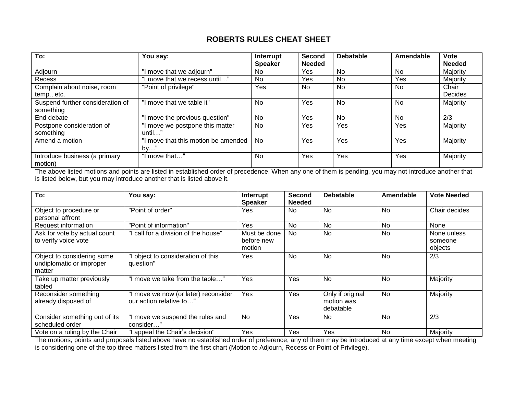## **ROBERTS RULES CHEAT SHEET**

| To:                                           | You say:                                  | Interrupt<br><b>Speaker</b> | <b>Second</b><br><b>Needed</b> | <b>Debatable</b> | Amendable | <b>Vote</b><br><b>Needed</b> |
|-----------------------------------------------|-------------------------------------------|-----------------------------|--------------------------------|------------------|-----------|------------------------------|
| Adjourn                                       | "I move that we adjourn"                  | <b>No</b>                   | <b>Yes</b>                     | N <sub>0</sub>   | <b>No</b> | Majority                     |
| Recess                                        | move that we recess until"                | No                          | <b>Yes</b>                     | <b>No</b>        | Yes       | Majority                     |
| Complain about noise, room<br>temp., etc.     | "Point of privilege"                      | Yes                         | No.                            | <b>No</b>        | <b>No</b> | Chair<br>Decides             |
| Suspend further consideration of<br>something | 'I move that we table it"                 | <b>No</b>                   | <b>Yes</b>                     | <b>No</b>        | <b>No</b> | Majority                     |
| End debate                                    | "I move the previous question"            | No                          | Yes                            | <b>No</b>        | No        | 2/3                          |
| Postpone consideration of<br>something        | 'I move we postpone this matter<br>until" | <b>No</b>                   | Yes                            | Yes              | Yes       | Majority                     |
| Amend a motion                                | I move that this motion be amended<br>by" | <b>No</b>                   | Yes                            | Yes              | Yes       | Majority                     |
| Introduce business (a primary<br>motion)      | "I move that"                             | <b>No</b>                   | Yes                            | Yes              | Yes       | Majority                     |

The above listed motions and points are listed in established order of precedence. When any one of them is pending, you may not introduce another that is listed below, but you may introduce another that is listed above it.

| To:                                                              | You say:                                                        | <b>Interrupt</b><br><b>Speaker</b>   | <b>Second</b><br><b>Needed</b> | <b>Debatable</b>                            | Amendable | <b>Vote Needed</b>                |
|------------------------------------------------------------------|-----------------------------------------------------------------|--------------------------------------|--------------------------------|---------------------------------------------|-----------|-----------------------------------|
| Object to procedure or<br>personal affront                       | "Point of order"                                                | Yes                                  | No                             | <b>No</b>                                   | <b>No</b> | Chair decides                     |
| Request information                                              | "Point of information"                                          | Yes                                  | No                             | <b>No</b>                                   | No        | None                              |
| Ask for vote by actual count<br>to verify voice vote             | call for a division of the house"                               | Must be done<br>before new<br>motion | <b>No</b>                      | <b>No</b>                                   | No        | None unless<br>someone<br>objects |
| Object to considering some<br>undiplomatic or improper<br>matter | object to consideration of this<br>question"                    | Yes                                  | No                             | <b>No</b>                                   | <b>No</b> | 2/3                               |
| Take up matter previously<br>tabled                              | "I move we take from the table"                                 | <b>Yes</b>                           | Yes                            | <b>No</b>                                   | <b>No</b> | Majority                          |
| Reconsider something<br>already disposed of                      | "I move we now (or later) reconsider<br>our action relative to" | Yes                                  | Yes                            | Only if original<br>motion was<br>debatable | No        | Majority                          |
| Consider something out of its<br>scheduled order                 | "I move we suspend the rules and<br>consider"                   | No                                   | Yes                            | <b>No</b>                                   | <b>No</b> | 2/3                               |
| Vote on a ruling by the Chair                                    | appeal the Chair's decision"                                    | Yes                                  | Yes                            | Yes                                         | No        | Majority                          |

The motions, points and proposals listed above have no established order of preference; any of them may be introduced at any time except when meeting is considering one of the top three matters listed from the first chart (Motion to Adjourn, Recess or Point of Privilege).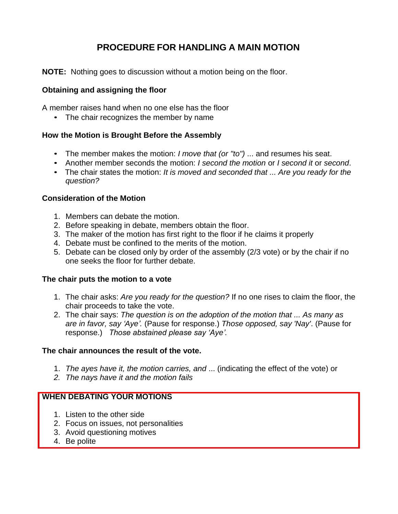# **PROCEDURE FOR HANDLING A MAIN MOTION**

**NOTE:** Nothing goes to discussion without a motion being on the floor.

#### **Obtaining and assigning the floor**

A member raises hand when no one else has the floor

• The chair recognizes the member by name

## **How the Motion is Brought Before the Assembly**

- The member makes the motion: *I move that (or "to")* ... and resumes his seat.
- Another member seconds the motion: *I second the motion* or *I second it* or *second*.
- The chair states the motion: *It is moved and seconded that ... Are you ready for the question?*

#### **Consideration of the Motion**

- 1. Members can debate the motion.
- 2. Before speaking in debate, members obtain the floor.
- 3. The maker of the motion has first right to the floor if he claims it properly
- 4. Debate must be confined to the merits of the motion.
- 5. Debate can be closed only by order of the assembly (2/3 vote) or by the chair if no one seeks the floor for further debate.

#### **The chair puts the motion to a vote**

- 1. The chair asks: *Are you ready for the question?* If no one rises to claim the floor, the chair proceeds to take the vote.
- 2. The chair says: *The question is on the adoption of the motion that ... As many as are in favor, say 'Aye'.* (Pause for response.) *Those opposed, say 'Nay'*. (Pause for response.) *Those abstained please say 'Aye'.*

#### **The chair announces the result of the vote.**

- 1. *The ayes have it, the motion carries, and* ... (indicating the effect of the vote) or
- *2. The nays have it and the motion fails*

#### **WHEN DEBATING YOUR MOTIONS**

- 1. Listen to the other side
- 2. Focus on issues, not personalities
- 3. Avoid questioning motives
- 4. Be polite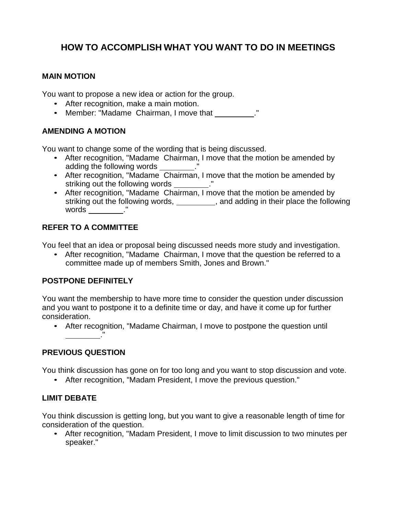# **HOW TO ACCOMPLISH WHAT YOU WANT TO DO IN MEETINGS**

## **MAIN MOTION**

You want to propose a new idea or action for the group.

- After recognition, make a main motion.
- Member: "Madame Chairman, I move that \_\_\_\_\_\_\_\_\_."

# **AMENDING A MOTION**

You want to change some of the wording that is being discussed.

- After recognition, "Madame Chairman, I move that the motion be amended by adding the following words \_\_\_\_\_\_\_\_
- After recognition, "Madame Chairman, I move that the motion be amended by striking out the following words ."
- After recognition, "Madame Chairman, I move that the motion be amended by striking out the following words, \_\_\_\_\_\_\_\_\_, and adding in their place the following  $words$   $"$

# **REFER TO A COMMITTEE**

You feel that an idea or proposal being discussed needs more study and investigation.

• After recognition, "Madame Chairman, I move that the question be referred to a committee made up of members Smith, Jones and Brown."

## **POSTPONE DEFINITELY**

You want the membership to have more time to consider the question under discussion and you want to postpone it to a definite time or day, and have it come up for further consideration.

• After recognition, "Madame Chairman, I move to postpone the question until ."

# **PREVIOUS QUESTION**

You think discussion has gone on for too long and you want to stop discussion and vote.

• After recognition, "Madam President, I move the previous question."

## **LIMIT DEBATE**

You think discussion is getting long, but you want to give a reasonable length of time for consideration of the question.

• After recognition, "Madam President, I move to limit discussion to two minutes per speaker."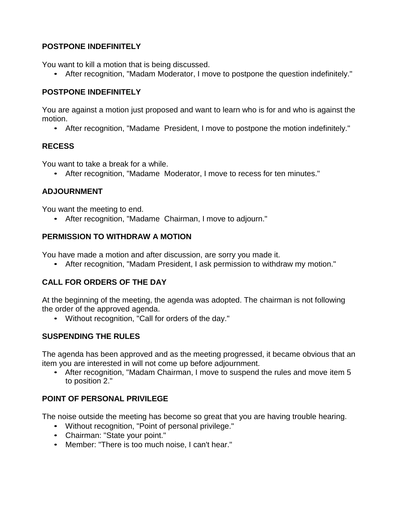## **POSTPONE INDEFINITELY**

You want to kill a motion that is being discussed.

• After recognition, "Madam Moderator, I move to postpone the question indefinitely."

## **POSTPONE INDEFINITELY**

You are against a motion just proposed and want to learn who is for and who is against the motion.

• After recognition, "Madame President, I move to postpone the motion indefinitely."

# **RECESS**

You want to take a break for a while.

• After recognition, "Madame Moderator, I move to recess for ten minutes."

# **ADJOURNMENT**

You want the meeting to end.

• After recognition, "Madame Chairman, I move to adjourn."

## **PERMISSION TO WITHDRAW A MOTION**

You have made a motion and after discussion, are sorry you made it.

• After recognition, "Madam President, I ask permission to withdraw my motion."

# **CALL FOR ORDERS OF THE DAY**

At the beginning of the meeting, the agenda was adopted. The chairman is not following the order of the approved agenda.

• Without recognition, "Call for orders of the day."

# **SUSPENDING THE RULES**

The agenda has been approved and as the meeting progressed, it became obvious that an item you are interested in will not come up before adjournment.

• After recognition, "Madam Chairman, I move to suspend the rules and move item 5 to position 2."

# **POINT OF PERSONAL PRIVILEGE**

The noise outside the meeting has become so great that you are having trouble hearing.

- Without recognition, "Point of personal privilege."
- Chairman: "State your point."
- Member: "There is too much noise, I can't hear."